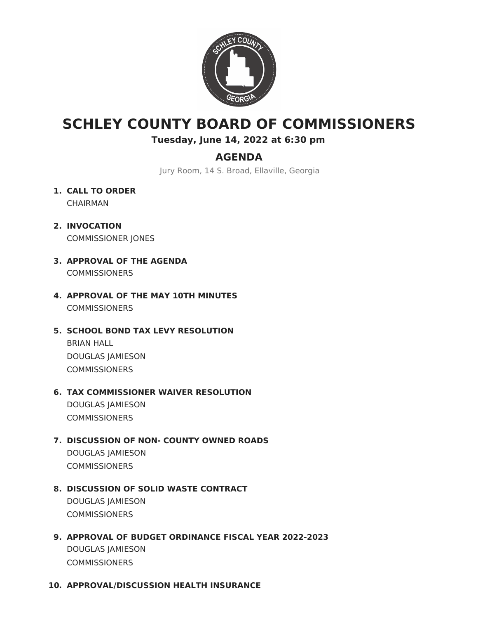

# **SCHLEY COUNTY BOARD OF COMMISSIONERS**

**Tuesday, June 14, 2022 at 6:30 pm**

# **AGENDA**

Jury Room, 14 S. Broad, Ellaville, Georgia

- **1. CALL TO ORDER** CHAIRMAN
- **2. INVOCATION** COMMISSIONER JONES
- **3. APPROVAL OF THE AGENDA** COMMISSIONERS
- **4. APPROVAL OF THE MAY 10TH MINUTES COMMISSIONERS**
- **5. SCHOOL BOND TAX LEVY RESOLUTION**

BRIAN HALL DOUGLAS JAMIESON **COMMISSIONERS** 

## **6. TAX COMMISSIONER WAIVER RESOLUTION**

DOUGLAS JAMIESON **COMMISSIONERS** 

## **7. DISCUSSION OF NON- COUNTY OWNED ROADS**

DOUGLAS JAMIESON **COMMISSIONERS** 

# **8. DISCUSSION OF SOLID WASTE CONTRACT**

DOUGLAS JAMIESON **COMMISSIONERS** 

## **9. APPROVAL OF BUDGET ORDINANCE FISCAL YEAR 2022-2023**

DOUGLAS JAMIESON **COMMISSIONERS** 

#### **10. APPROVAL/DISCUSSION HEALTH INSURANCE**